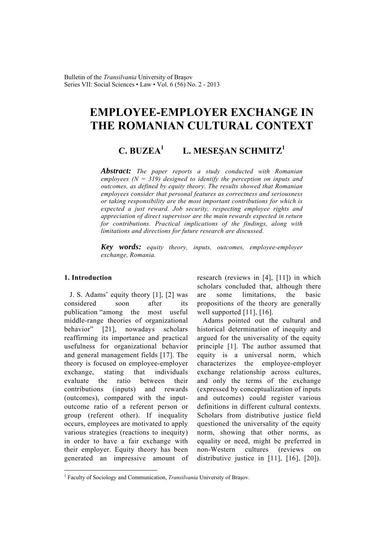# **EMPLOYEE-EMPLOYER EXCHANGE IN THE ROMANIAN CULTURAL CONTEXT**

#### **C. BUZEA1 L. MESEŞAN SCHMITZ1**

*Abstract: The paper reports a study conducted with Romanian employees (N = 319) designed to identify the perception on inputs and outcomes, as defined by equity theory. The results showed that Romanian employees consider that personal features as correctness and seriousness or taking responsibility are the most important contributions for which is expected a just reward. Job security, respecting employee rights and appreciation of direct supervisor are the main rewards expected in return for contributions. Practical implications of the findings, along with limitations and directions for future research are discussed.* 

*Key words: equity theory, inputs, outcomes, employee-employer exchange, Romania.*

# **1. Introduction**

 $\overline{a}$ 

J. S. Adams' equity theory [1], [2] was considered soon after its publication "among the most useful middle-range theories of organizational behavior" [21], nowadays scholars reaffirming its importance and practical usefulness for organizational behavior and general management fields [17]. The theory is focused on employee-employer exchange, stating that individuals evaluate the ratio between their contributions (inputs) and rewards (outcomes), compared with the inputoutcome ratio of a referent person or group (referent other). If inequality occurs, employees are motivated to apply various strategies (reactions to inequity) in order to have a fair exchange with their employer. Equity theory has been generated an impressive amount of research (reviews in [4], [11]) in which scholars concluded that, although there are some limitations, the basic propositions of the theory are generally well supported [11], [16].

Adams pointed out the cultural and historical determination of inequity and argued for the universality of the equity principle [1]. The author assumed that equity is a universal norm, which characterizes the employee-employer exchange relationship across cultures, and only the terms of the exchange (expressed by conceptualization of inputs and outcomes) could register various definitions in different cultural contexts. Scholars from distributive justice field questioned the universality of the equity norm, showing that other norms, as equality or need, might be preferred in non-Western cultures (reviews on distributive justice in [11], [16], [20]).

<sup>&</sup>lt;sup>1</sup> Faculty of Sociology and Communication, *Transilvania* University of Brașov.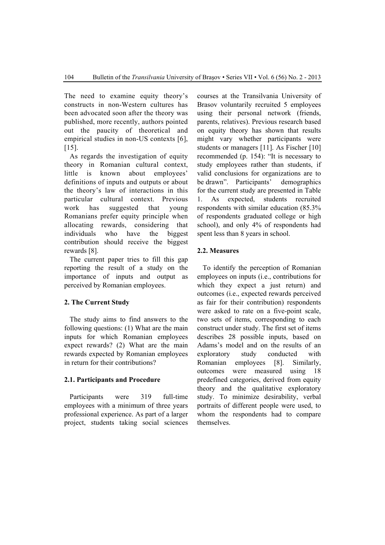The need to examine equity theory's constructs in non-Western cultures has been advocated soon after the theory was published, more recently, authors pointed out the paucity of theoretical and empirical studies in non-US contexts [6], [15].

As regards the investigation of equity theory in Romanian cultural context, little is known about employees' definitions of inputs and outputs or about the theory's law of interactions in this particular cultural context. Previous work has suggested that young Romanians prefer equity principle when allocating rewards, considering that individuals who have the biggest contribution should receive the biggest rewards [8].

The current paper tries to fill this gap reporting the result of a study on the importance of inputs and output as perceived by Romanian employees.

# **2. The Current Study**

The study aims to find answers to the following questions: (1) What are the main inputs for which Romanian employees expect rewards? (2) What are the main rewards expected by Romanian employees in return for their contributions?

#### **2.1. Participants and Procedure**

Participants were 319 full-time employees with a minimum of three years professional experience. As part of a larger project, students taking social sciences

courses at the Transilvania University of Brasov voluntarily recruited 5 employees using their personal network (friends, parents, relatives). Previous research based on equity theory has shown that results might vary whether participants were students or managers [11]. As Fischer [10] recommended (p. 154): "It is necessary to study employees rather than students, if valid conclusions for organizations are to be drawn". Participants' demographics for the current study are presented in Table 1. As expected, students recruited respondents with similar education (85.3% of respondents graduated college or high school), and only 4% of respondents had spent less than 8 years in school.

# **2.2. Measures**

To identify the perception of Romanian employees on inputs (i.e., contributions for which they expect a just return) and outcomes (i.e., expected rewards perceived as fair for their contribution) respondents were asked to rate on a five-point scale, two sets of items, corresponding to each construct under study. The first set of items describes 28 possible inputs, based on Adams's model and on the results of an exploratory study conducted with Romanian employees [8]. Similarly, outcomes were measured using 18 predefined categories, derived from equity theory and the qualitative exploratory study. To minimize desirability, verbal portraits of different people were used, to whom the respondents had to compare themselves.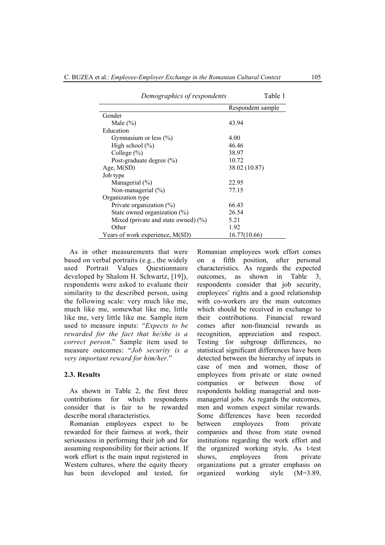| Demographics of respondents            | Table 1           |
|----------------------------------------|-------------------|
|                                        | Respondent sample |
| Gender                                 |                   |
| Male $(\% )$                           | 43.94             |
| Education                              |                   |
| Gymnasium or less $(\% )$              | 4.00              |
| High school $(\% )$                    | 46.46             |
| College $(\% )$                        | 38.97             |
| Post-graduate degree (%)               | 10.72             |
| Age, $M(SD)$                           | 38.02 (10.87)     |
| Job type                               |                   |
| Managerial $(\% )$                     | 22.95             |
| Non-managerial $(\%)$                  | 77.15             |
| Organization type                      |                   |
| Private organization (%)               | 66.43             |
| State owned organization $(\% )$       | 26.54             |
| Mixed (private and state owned) $(\%)$ | 5.21              |
| Other                                  | 1.92              |
| Years of work experience, M(SD)        | 16.77(10.66)      |

As in other measurements that were based on verbal portraits (e.g., the widely used Portrait Values Questionnaire developed by Shalom H. Schwartz, [19]), respondents were asked to evaluate their similarity to the described person, using the following scale: very much like me, much like me, somewhat like me, little like me, very little like me. Sample item used to measure inputs: "*Expects to be rewarded for the fact that he/she is a correct person*." Sample item used to measure outcomes: "*Job security is a very important reward for him/her*."

#### **2.3. Results**

As shown in Table 2, the first three contributions for which respondents consider that is fair to be rewarded describe moral characteristics.

Romanian employees expect to be rewarded for their fairness at work, their seriousness in performing their job and for assuming responsibility for their actions. If work effort is the main input registered in Western cultures, where the equity theory has been developed and tested, for

Romanian employees work effort comes on a fifth position, after personal characteristics. As regards the expected outcomes, as shown in Table 3, respondents consider that job security, employees' rights and a good relationship with co-workers are the main outcomes which should be received in exchange to their contributions. Financial reward comes after non-financial rewards as recognition, appreciation and respect. Testing for subgroup differences, no statistical significant differences have been detected between the hierarchy of inputs in case of men and women, those of employees from private or state owned companies or between those of respondents holding managerial and nonmanagerial jobs. As regards the outcomes, men and women expect similar rewards. Some differences have been recorded between employees from private companies and those from state owned institutions regarding the work effort and the organized working style. As t-test shows, employees from private organizations put a greater emphasis on organized working style (M=3.89,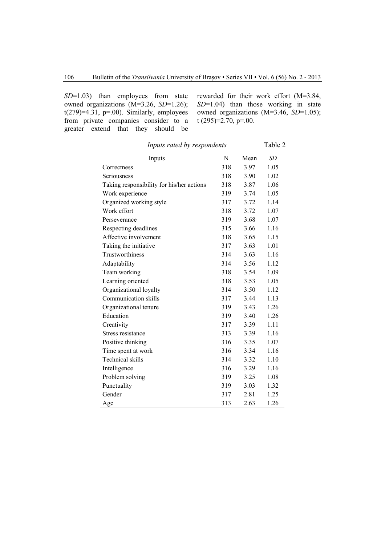*SD*=1.03) than employees from state owned organizations (M=3.26, *SD*=1.26);  $t(279)=4.31$ , p=.00). Similarly, employees from private companies consider to a greater extend that they should be

rewarded for their work effort (M=3.84, *SD*=1.04) than those working in state owned organizations (M=3.46, *SD*=1.05); t (295)=2.70, p=.00.

| Inputs                                    | N   | Mean | SD   |
|-------------------------------------------|-----|------|------|
| Correctness                               | 318 | 3.97 | 1.05 |
| Seriousness                               | 318 | 3.90 | 1.02 |
| Taking responsibility for his/her actions | 318 | 3.87 | 1.06 |
| Work experience                           | 319 | 3.74 | 1.05 |
| Organized working style                   | 317 | 3.72 | 1.14 |
| Work effort                               | 318 | 3.72 | 1.07 |
| Perseverance                              | 319 | 3.68 | 1.07 |
| Respecting deadlines                      | 315 | 3.66 | 1.16 |
| Affective involvement                     | 318 | 3.65 | 1.15 |
| Taking the initiative                     | 317 | 3.63 | 1.01 |
| Trustworthiness                           | 314 | 3.63 | 1.16 |
| Adaptability                              | 314 | 3.56 | 1.12 |
| Team working                              | 318 | 3.54 | 1.09 |
| Learning oriented                         | 318 | 3.53 | 1.05 |
| Organizational loyalty                    | 314 | 3.50 | 1.12 |
| Communication skills                      | 317 | 3.44 | 1.13 |
| Organizational tenure                     | 319 | 3.43 | 1.26 |
| Education                                 | 319 | 3.40 | 1.26 |
| Creativity                                | 317 | 3.39 | 1.11 |
| Stress resistance                         | 313 | 3.39 | 1.16 |
| Positive thinking                         | 316 | 3.35 | 1.07 |
| Time spent at work                        | 316 | 3.34 | 1.16 |
| Technical skills                          | 314 | 3.32 | 1.10 |
| Intelligence                              | 316 | 3.29 | 1.16 |
| Problem solving                           | 319 | 3.25 | 1.08 |
| Punctuality                               | 319 | 3.03 | 1.32 |
| Gender                                    | 317 | 2.81 | 1.25 |
| Age                                       | 313 | 2.63 | 1.26 |

*Inputs rated by respondents* Table 2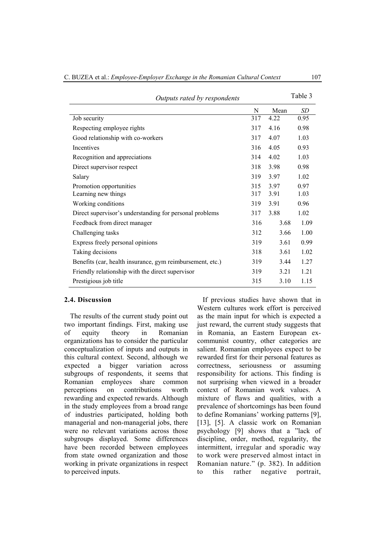| Outputs rated by respondents                              |     |      | Table 3 |
|-----------------------------------------------------------|-----|------|---------|
|                                                           | N   | Mean | SD      |
| Job security                                              | 317 | 4.22 | 0.95    |
| Respecting employee rights                                | 317 | 4.16 | 0.98    |
| Good relationship with co-workers                         | 317 | 4.07 | 1.03    |
| Incentives                                                | 316 | 4.05 | 0.93    |
| Recognition and appreciations                             | 314 | 4.02 | 1.03    |
| Direct supervisor respect                                 | 318 | 3.98 | 0.98    |
| Salary                                                    | 319 | 3.97 | 1.02    |
| Promotion opportunities                                   | 315 | 3.97 | 0.97    |
| Learning new things                                       | 317 | 3.91 | 1.03    |
| Working conditions                                        | 319 | 3.91 | 0.96    |
| Direct supervisor's understanding for personal problems   | 317 | 3.88 | 1.02    |
| Feedback from direct manager                              | 316 | 3.68 | 1.09    |
| Challenging tasks                                         | 312 | 3.66 | 1.00    |
| Express freely personal opinions                          | 319 | 3.61 | 0.99    |
| Taking decisions                                          | 318 | 3.61 | 1.02    |
| Benefits (car, health insurance, gym reimbursement, etc.) | 319 | 3.44 | 1.27    |
| Friendly relationship with the direct supervisor          | 319 | 3.21 | 1.21    |
| Prestigious job title                                     | 315 | 3.10 | 1.15    |

#### **2.4. Discussion**

The results of the current study point out two important findings. First, making use of equity theory in Romanian organizations has to consider the particular conceptualization of inputs and outputs in this cultural context. Second, although we expected a bigger variation across subgroups of respondents, it seems that Romanian employees share common perceptions on contributions worth rewarding and expected rewards. Although in the study employees from a broad range of industries participated, holding both managerial and non-managerial jobs, there were no relevant variations across those subgroups displayed. Some differences have been recorded between employees from state owned organization and those working in private organizations in respect to perceived inputs.

If previous studies have shown that in Western cultures work effort is perceived as the main input for which is expected a just reward, the current study suggests that in Romania, an Eastern European excommunist country, other categories are salient. Romanian employees expect to be rewarded first for their personal features as correctness, seriousness or assuming responsibility for actions. This finding is not surprising when viewed in a broader context of Romanian work values. A mixture of flaws and qualities, with a prevalence of shortcomings has been found to define Romanians' working patterns [9], [13], [5]. A classic work on Romanian psychology [9] shows that a "lack of discipline, order, method, regularity, the intermittent, irregular and sporadic way to work were preserved almost intact in Romanian nature." (p. 382). In addition to this rather negative portrait,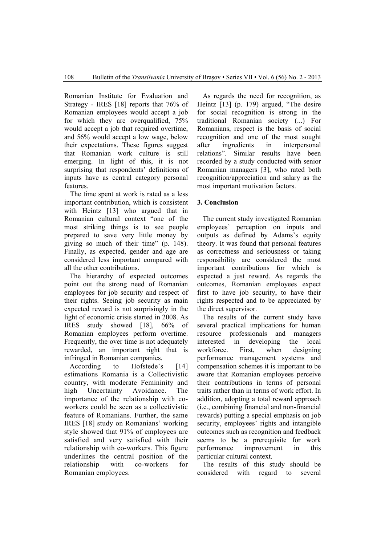Romanian Institute for Evaluation and Strategy - IRES [18] reports that 76% of Romanian employees would accept a job for which they are overqualified, 75% would accept a job that required overtime, and 56% would accept a low wage, below their expectations. These figures suggest that Romanian work culture is still emerging. In light of this, it is not surprising that respondents' definitions of inputs have as central category personal features.

The time spent at work is rated as a less important contribution, which is consistent with Heintz [13] who argued that in Romanian cultural context "one of the most striking things is to see people prepared to save very little money by giving so much of their time" (p. 148). Finally, as expected, gender and age are considered less important compared with all the other contributions.

The hierarchy of expected outcomes point out the strong need of Romanian employees for job security and respect of their rights. Seeing job security as main expected reward is not surprisingly in the light of economic crisis started in 2008. As IRES study showed [18], 66% of Romanian employees perform overtime. Frequently, the over time is not adequately rewarded, an important right that is infringed in Romanian companies.

According to Hofstede's [14] estimations Romania is a Collectivistic country, with moderate Femininity and high Uncertainty Avoidance. The importance of the relationship with coworkers could be seen as a collectivistic feature of Romanians. Further, the same IRES [18] study on Romanians' working style showed that 91% of employees are satisfied and very satisfied with their relationship with co-workers. This figure underlines the central position of the relationship with co-workers for Romanian employees.

As regards the need for recognition, as Heintz [13] (p. 179) argued, "The desire for social recognition is strong in the traditional Romanian society (...) For Romanians, respect is the basis of social recognition and one of the most sought after ingredients in interpersonal relations". Similar results have been recorded by a study conducted with senior Romanian managers [3], who rated both recognition/appreciation and salary as the most important motivation factors.

# **3. Conclusion**

The current study investigated Romanian employees' perception on inputs and outputs as defined by Adams's equity theory. It was found that personal features as correctness and seriousness or taking responsibility are considered the most important contributions for which is expected a just reward. As regards the outcomes, Romanian employees expect first to have job security, to have their rights respected and to be appreciated by the direct supervisor.

 The results of the current study have several practical implications for human resource professionals and managers interested in developing the local workforce. First, when designing performance management systems and compensation schemes it is important to be aware that Romanian employees perceive their contributions in terms of personal traits rather than in terms of work effort. In addition, adopting a total reward approach (i.e., combining financial and non-financial rewards) putting a special emphasis on job security, employees' rights and intangible outcomes such as recognition and feedback seems to be a prerequisite for work performance improvement in this particular cultural context.

The results of this study should be considered with regard to several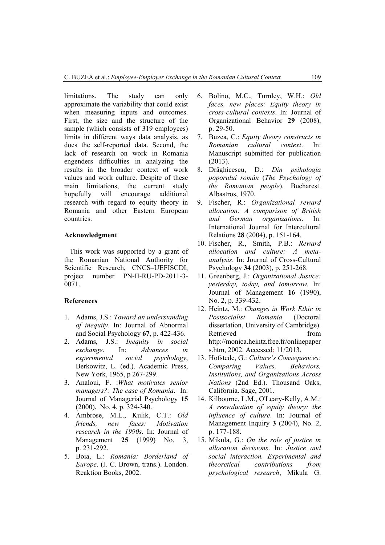limitations. The study can only approximate the variability that could exist when measuring inputs and outcomes. First, the size and the structure of the sample (which consists of 319 employees) limits in different ways data analysis, as does the self-reported data. Second, the lack of research on work in Romania engenders difficulties in analyzing the results in the broader context of work values and work culture. Despite of these main limitations, the current study hopefully will encourage additional research with regard to equity theory in Romania and other Eastern European countries.

#### **Acknowledgment**

This work was supported by a grant of the Romanian National Authority for Scientific Research, CNCS–UEFISCDI, project number PN-II-RU-PD-2011-3- 0071.

### **References**

- 1. Adams, J.S.: *Toward an understanding of inequity*. In: Journal of Abnormal and Social Psychology **67**, p. 422-436.
- 2. Adams, J.S.: *Inequity in social exchange*. In: *Advances in experimental social psychology*, Berkowitz, L. (ed.). Academic Press, New York, 1965, p 267-299.
- 3. Analoui, F. :*What motivates senior managers?: The case of Romania*. In: Journal of Managerial Psychology **15**  (2000), No. 4, p. 324-340.
- 4. Ambrose, M.L., Kulik, C.T.: *Old friends, new faces: Motivation research in the 1990s*. In: Journal of Management **25** (1999) No. 3, p. 231-292.
- 5. Boia, L.: *Romania: Borderland of Europe*. (J. C. Brown, trans.). London. Reaktion Books, 2002.
- 6. Bolino, M.C., Turnley, W.H.: *Old faces, new places: Equity theory in cross-cultural contexts*. In: Journal of Organizational Behavior **29** (2008), p. 29-50.
- 7. Buzea, C.: *Equity theory constructs in Romanian cultural context*. In: Manuscript submitted for publication (2013).
- 8. Drăghicescu, D.: *Din psihologia poporului român* (*The Psychology of the Romanian people*). Bucharest. Albastros, 1970.
- 9. Fischer, R.: *Organizational reward allocation: A comparison of British and German organizations*. In: International Journal for Intercultural Relations **28** (2004), p. 151-164.
- 10. Fischer, R., Smith, P.B.: *Reward allocation and culture: A metaanalysis*. In: Journal of Cross-Cultural Psychology **34** (2003), p. 251-268.
- 11. Greenberg, J.: *Organizational Justice: yesterday, today, and tomorrow.* In: Journal of Management **16** (1990), No. 2, p. 339-432.
- 12. Heintz, M.: *Changes in Work Ethic in Postsocialist Romania* (Doctoral dissertation, University of Cambridge). Retrieved from http://monica.heintz.free.fr/onlinepaper s.htm, 2002. Accessed: 11/2013.
- 13. Hofstede, G.: *Culture's Consequences: Comparing Values, Behaviors, Institutions, and Organizations Across Nations* (2nd Ed.). Thousand Oaks, California. Sage, 2001.
- 14. Kilbourne, L.M., O'Leary-Kelly, A.M.: *A reevaluation of equity theory: the influence of culture*. In: Journal of Management Inquiry **3** (2004), No. 2, p. 177-188.
- 15. Mikula, G.: *On the role of justice in allocation decisions*. In: *Justice and social interaction. Experimental and theoretical contributions from psychological research*, Mikula G.